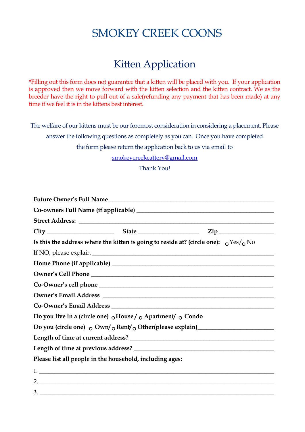## SMOKEY CREEK COONS

## Kitten Application

\*Filling out this form does not guarantee that a kitten will be placed with you. If your application is approved then we move forward with the kitten selection and the kitten contract. We as the breeder have the right to pull out of a sale(refunding any payment that has been made) at any time if we feel it is in the kittens best interest.

The welfare of our kittens must be our foremost consideration in considering a placement. Please

answer the following questions as completely as you can. Once you have completed

the form please return the application back to us via email to

smokeycreekcattery@gmail.com

Thank You!

|  |                                                                                                     | $City$ $City$ $State$ $Zip$ |
|--|-----------------------------------------------------------------------------------------------------|-----------------------------|
|  | Is this the address where the kitten is going to reside at? (circle one): $\alpha$ Yes/ $\alpha$ No |                             |
|  |                                                                                                     |                             |
|  |                                                                                                     |                             |
|  |                                                                                                     |                             |
|  |                                                                                                     |                             |
|  |                                                                                                     |                             |
|  |                                                                                                     |                             |
|  | Do you live in a (circle one) $\circ$ House / $\circ$ Apartment/ $\circ$ Condo                      |                             |
|  |                                                                                                     |                             |
|  |                                                                                                     |                             |
|  |                                                                                                     |                             |
|  | Please list all people in the household, including ages:                                            |                             |
|  |                                                                                                     |                             |
|  |                                                                                                     | $\frac{2}{2}$               |
|  |                                                                                                     |                             |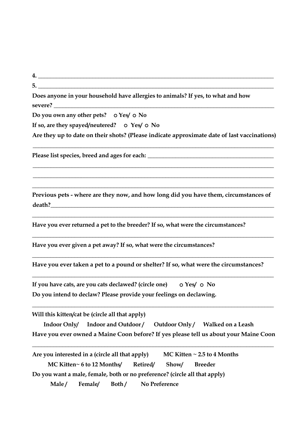| Does anyone in your household have allergies to animals? If yes, to what and how                                                                                                                          |
|-----------------------------------------------------------------------------------------------------------------------------------------------------------------------------------------------------------|
| Do you own any other pets? o Yes/ o No                                                                                                                                                                    |
| If so, are they spayed/neutered? $\circ$ Yes/ $\circ$ No                                                                                                                                                  |
| Are they up to date on their shots? (Please indicate approximate date of last vaccinations)                                                                                                               |
| ,我们也不能在这里的人,我们也不能在这里的人,我们也不能不能不能不能不能不能不能不能不能不能不能不能。""我们,我们也不能不能不能不能不能不能不能不能不能不能不能                                                                                                                         |
| Previous pets - where are they now, and how long did you have them, circumstances of                                                                                                                      |
| <u> 1989 - Johann Harry Harry Harry Harry Harry Harry Harry Harry Harry Harry Harry Harry Harry Harry Harry Harry</u><br>Have you ever returned a pet to the breeder? If so, what were the circumstances? |

**4. \_\_\_\_\_\_\_\_\_\_\_\_\_\_\_\_\_\_\_\_\_\_\_\_\_\_\_\_\_\_\_\_\_\_\_\_\_\_\_\_\_\_\_\_\_\_\_\_\_\_\_\_\_\_\_\_\_\_\_\_\_\_\_\_\_\_\_\_\_\_\_\_\_\_\_\_\_\_**

**Have you ever given a pet away? If so, what were the circumstances?**

**Have you ever taken a pet to a pound or shelter? If so, what were the circumstances?**

**\_\_\_\_\_\_\_\_\_\_\_\_\_\_\_\_\_\_\_\_\_\_\_\_\_\_\_\_\_\_\_\_\_\_\_\_\_\_\_\_\_\_\_\_\_\_\_\_\_\_\_\_\_\_\_\_\_\_\_\_\_\_\_\_\_\_\_\_\_\_\_\_\_\_\_\_\_\_\_\_**

**\_\_\_\_\_\_\_\_\_\_\_\_\_\_\_\_\_\_\_\_\_\_\_\_\_\_\_\_\_\_\_\_\_\_\_\_\_\_\_\_\_\_\_\_\_\_\_\_\_\_\_\_\_\_\_\_\_\_\_\_\_\_\_\_\_\_\_\_\_\_\_\_\_\_\_\_\_\_\_\_**

**\_\_\_\_\_\_\_\_\_\_\_\_\_\_\_\_\_\_\_\_\_\_\_\_\_\_\_\_\_\_\_\_\_\_\_\_\_\_\_\_\_\_\_\_\_\_\_\_\_\_\_\_\_\_\_\_\_\_\_\_\_\_\_\_\_\_\_\_\_\_\_\_\_\_\_\_\_\_\_\_**

**If you have cats, are you cats declawed? (circle one)**  $\circ$  Yes/  $\circ$  No **Do you intend to declaw? Please provide your feelings on declawing.**

**Will this kitten/cat be (circle all that apply)**

**Indoor Only/ Indoor and Outdoor / Outdoor Only / Walked on a Leash Have you ever owned a Maine Coon before? If yes please tell us about your Maine Coon** 

**\_\_\_\_\_\_\_\_\_\_\_\_\_\_\_\_\_\_\_\_\_\_\_\_\_\_\_\_\_\_\_\_\_\_\_\_\_\_\_\_\_\_\_\_\_\_\_\_\_\_\_\_\_\_\_\_\_\_\_\_\_\_\_\_\_\_\_\_\_\_\_\_\_\_\_\_\_\_\_\_**

**Are you interested in a (circle all that apply) MC Kitten ~ 2.5 to 4 Months MC Kitten~ 6 to 12 Months/ Retired/ Show/ Breeder Male / Female/ Both / No PreferenceDo you want a male, female, both or no preference? (circle all that apply)**